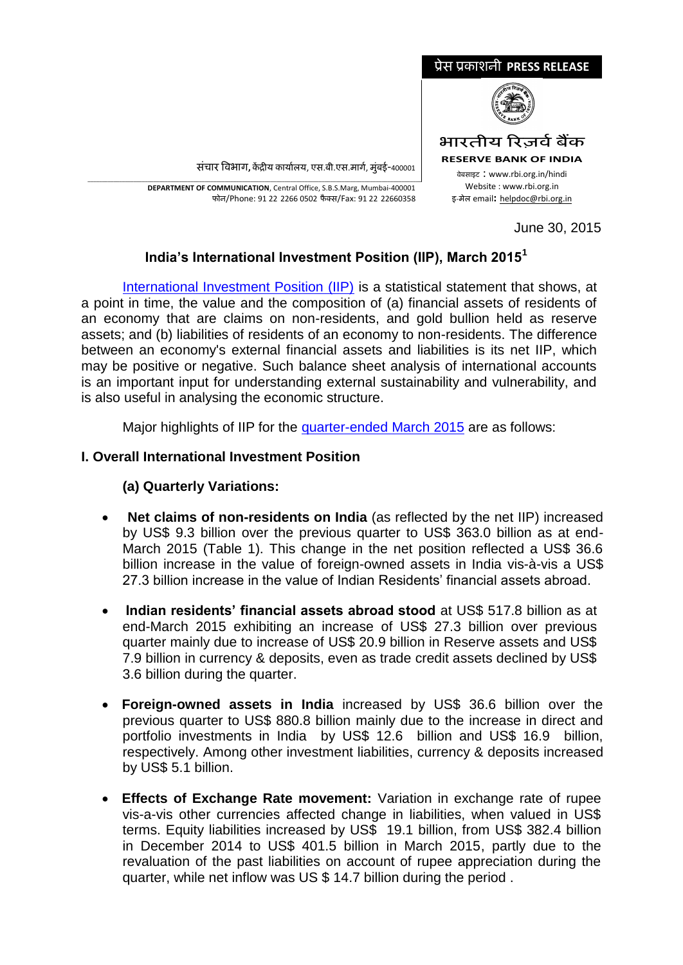

<u>संचार विभाग, केंद्रीय कार्यालय, एस.बी.एस.मार्ग, मुंबई-400001</u>

\_\_\_\_\_\_\_\_\_\_\_\_\_\_\_\_\_\_\_\_\_\_\_\_\_\_\_\_\_\_\_\_\_\_\_\_\_\_\_\_\_\_\_\_\_\_\_\_\_\_\_\_\_\_\_\_\_\_\_\_\_\_\_\_\_\_\_\_\_\_\_\_\_\_\_\_\_\_\_\_\_\_\_\_\_\_\_\_\_\_\_\_\_\_\_\_\_\_\_\_\_\_\_\_\_\_\_\_\_\_\_\_\_\_\_\_\_ **DEPARTMENT OF COMMUNICATION**, Central Office, S.B.S.Marg, Mumbai-400001 फोन/Phone: 91 22 2266 0502 फै क्स/Fax: 91 22 22660358

June 30, 2015

# **India's International Investment Position (IIP), March 2015<sup>1</sup>**

[International Investment Position \(IIP\)](https://www.rbi.org.in/scripts/IIPDetails.aspx?Id=106) is a statistical statement that shows, at a point in time, the value and the composition of (a) financial assets of residents of an economy that are claims on non-residents, and gold bullion held as reserve assets; and (b) liabilities of residents of an economy to non-residents. The difference between an economy's external financial assets and liabilities is its net IIP, which may be positive or negative. Such balance sheet analysis of international accounts is an important input for understanding external sustainability and vulnerability, and is also useful in analysing the economic structure.

Major highlights of IIP for the [quarter-ended March 2015](http://rbidocs.rbi.org.in/rdocs/Content/DOCs/EIPR300615FL.xls) are as follows:

## **I. Overall International Investment Position**

## **(a) Quarterly Variations:**

- **Net claims of non-residents on India** (as reflected by the net IIP) increased by US\$ 9.3 billion over the previous quarter to US\$ 363.0 billion as at end-March 2015 (Table 1). This change in the net position reflected a US\$ 36.6 billion increase in the value of foreign-owned assets in India vis-à-vis a US\$ 27.3 billion increase in the value of Indian Residents' financial assets abroad.
- **Indian residents' financial assets abroad stood** at US\$ 517.8 billion as at end-March 2015 exhibiting an increase of US\$ 27.3 billion over previous quarter mainly due to increase of US\$ 20.9 billion in Reserve assets and US\$ 7.9 billion in currency & deposits, even as trade credit assets declined by US\$ 3.6 billion during the quarter.
- **Foreign-owned assets in India** increased by US\$ 36.6 billion over the previous quarter to US\$ 880.8 billion mainly due to the increase in direct and portfolio investments in India by US\$ 12.6 billion and US\$ 16.9 billion, respectively. Among other investment liabilities, currency & deposits increased by US\$ 5.1 billion.
- **Effects of Exchange Rate movement:** Variation in exchange rate of rupee vis-a-vis other currencies affected change in liabilities, when valued in US\$ terms. Equity liabilities increased by US\$ 19.1 billion, from US\$ 382.4 billion in December 2014 to US\$ 401.5 billion in March 2015, partly due to the revaluation of the past liabilities on account of rupee appreciation during the quarter, while net inflow was US \$ 14.7 billion during the period .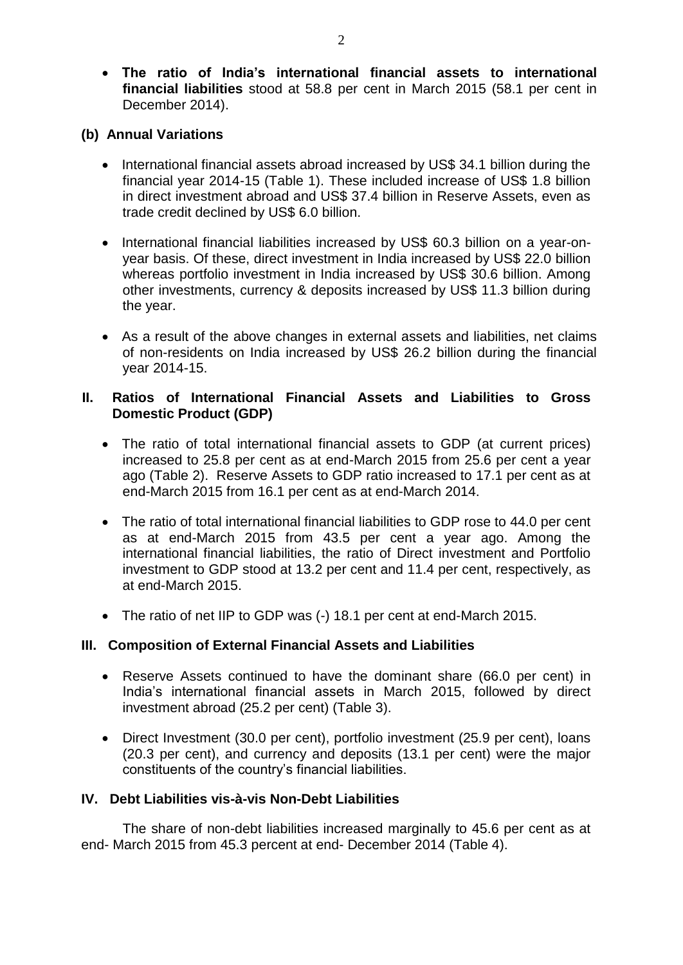**The ratio of India's international financial assets to international financial liabilities** stood at 58.8 per cent in March 2015 (58.1 per cent in December 2014).

### **(b) Annual Variations**

- International financial assets abroad increased by US\$ 34.1 billion during the financial year 2014-15 (Table 1). These included increase of US\$ 1.8 billion in direct investment abroad and US\$ 37.4 billion in Reserve Assets, even as trade credit declined by US\$ 6.0 billion.
- International financial liabilities increased by US\$ 60.3 billion on a year-onyear basis. Of these, direct investment in India increased by US\$ 22.0 billion whereas portfolio investment in India increased by US\$ 30.6 billion. Among other investments, currency & deposits increased by US\$ 11.3 billion during the year.
- As a result of the above changes in external assets and liabilities, net claims of non-residents on India increased by US\$ 26.2 billion during the financial year 2014-15.

#### **II. Ratios of International Financial Assets and Liabilities to Gross Domestic Product (GDP)**

- The ratio of total international financial assets to GDP (at current prices) increased to 25.8 per cent as at end-March 2015 from 25.6 per cent a year ago (Table 2). Reserve Assets to GDP ratio increased to 17.1 per cent as at end-March 2015 from 16.1 per cent as at end-March 2014.
- The ratio of total international financial liabilities to GDP rose to 44.0 per cent as at end-March 2015 from 43.5 per cent a year ago. Among the international financial liabilities, the ratio of Direct investment and Portfolio investment to GDP stood at 13.2 per cent and 11.4 per cent, respectively, as at end-March 2015.
- The ratio of net IIP to GDP was (-) 18.1 per cent at end-March 2015.

#### **III. Composition of External Financial Assets and Liabilities**

- Reserve Assets continued to have the dominant share (66.0 per cent) in India's international financial assets in March 2015, followed by direct investment abroad (25.2 per cent) (Table 3).
- Direct Investment (30.0 per cent), portfolio investment (25.9 per cent), loans (20.3 per cent), and currency and deposits (13.1 per cent) were the major constituents of the country's financial liabilities.

#### **IV. Debt Liabilities vis-à-vis Non-Debt Liabilities**

The share of non-debt liabilities increased marginally to 45.6 per cent as at end- March 2015 from 45.3 percent at end- December 2014 (Table 4).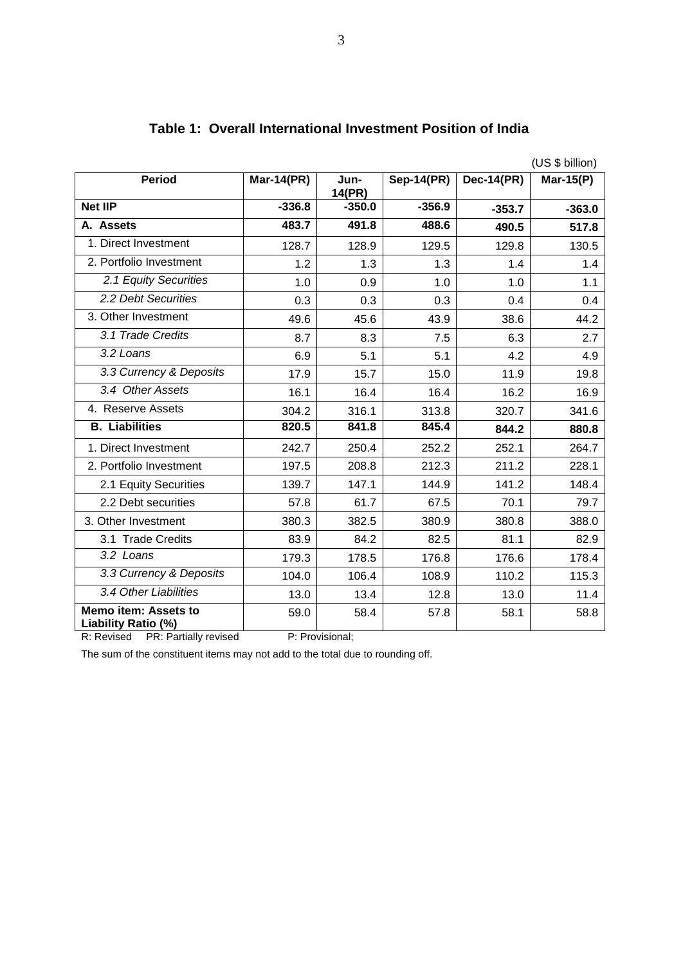|                                                    | (US \$ billion)   |                |                   |                   |           |
|----------------------------------------------------|-------------------|----------------|-------------------|-------------------|-----------|
| <b>Period</b>                                      | <b>Mar-14(PR)</b> | Jun-<br>14(PR) | <b>Sep-14(PR)</b> | <b>Dec-14(PR)</b> | Mar-15(P) |
| <b>Net IIP</b>                                     | $-336.8$          | $-350.0$       | $-356.9$          | $-353.7$          | $-363.0$  |
| A. Assets                                          | 483.7             | 491.8          | 488.6             | 490.5             | 517.8     |
| 1. Direct Investment                               | 128.7             | 128.9          | 129.5             | 129.8             | 130.5     |
| 2. Portfolio Investment                            | 1.2               | 1.3            | 1.3               | 1.4               | 1.4       |
| 2.1 Equity Securities                              | 1.0               | 0.9            | 1.0               | 1.0               | 1.1       |
| 2.2 Debt Securities                                | 0.3               | 0.3            | 0.3               | 0.4               | 0.4       |
| 3. Other Investment                                | 49.6              | 45.6           | 43.9              | 38.6              | 44.2      |
| 3.1 Trade Credits                                  | 8.7               | 8.3            | 7.5               | 6.3               | 2.7       |
| 3.2 Loans                                          | 6.9               | 5.1            | 5.1               | 4.2               | 4.9       |
| 3.3 Currency & Deposits                            | 17.9              | 15.7           | 15.0              | 11.9              | 19.8      |
| 3.4 Other Assets                                   | 16.1              | 16.4           | 16.4              | 16.2              | 16.9      |
| 4. Reserve Assets                                  | 304.2             | 316.1          | 313.8             | 320.7             | 341.6     |
| <b>B.</b> Liabilities                              | 820.5             | 841.8          | 845.4             | 844.2             | 880.8     |
| 1. Direct Investment                               | 242.7             | 250.4          | 252.2             | 252.1             | 264.7     |
| 2. Portfolio Investment                            | 197.5             | 208.8          | 212.3             | 211.2             | 228.1     |
| 2.1 Equity Securities                              | 139.7             | 147.1          | 144.9             | 141.2             | 148.4     |
| 2.2 Debt securities                                | 57.8              | 61.7           | 67.5              | 70.1              | 79.7      |
| 3. Other Investment                                | 380.3             | 382.5          | 380.9             | 380.8             | 388.0     |
| 3.1 Trade Credits                                  | 83.9              | 84.2           | 82.5              | 81.1              | 82.9      |
| 3.2 Loans                                          | 179.3             | 178.5          | 176.8             | 176.6             | 178.4     |
| 3.3 Currency & Deposits                            | 104.0             | 106.4          | 108.9             | 110.2             | 115.3     |
| 3.4 Other Liabilities                              | 13.0              | 13.4           | 12.8              | 13.0              | 11.4      |
| <b>Memo item: Assets to</b><br>Liability Ratio (%) | 59.0              | 58.4           | 57.8              | 58.1              | 58.8      |

# **Table 1: Overall International Investment Position of India**

R: Revised PR: Partially revised P: Provisional;

The sum of the constituent items may not add to the total due to rounding off.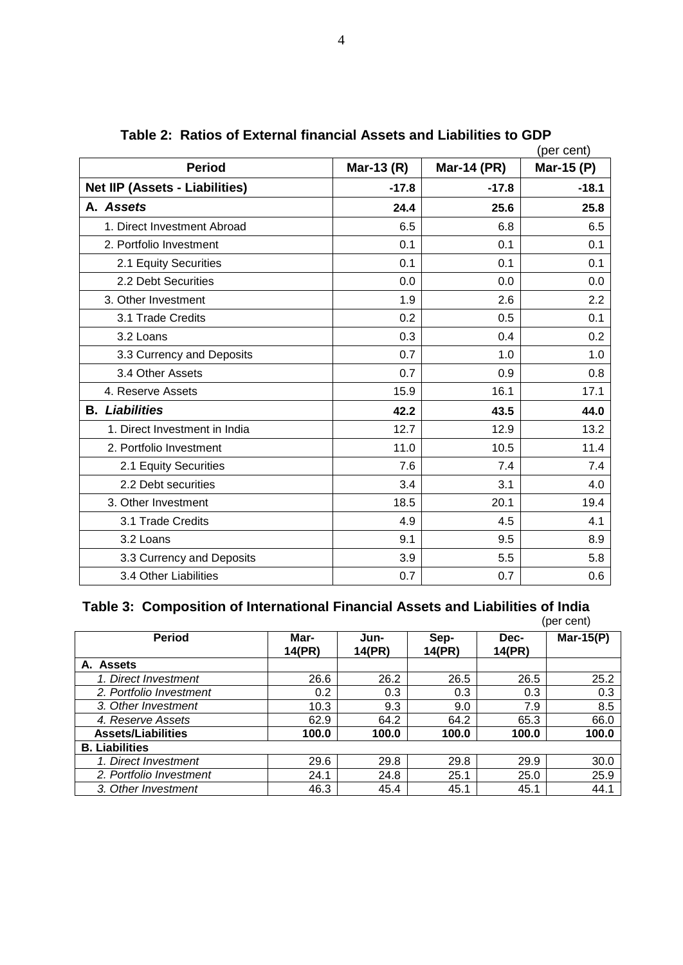|                                       |            | (per cent)         |            |
|---------------------------------------|------------|--------------------|------------|
| <b>Period</b>                         | Mar-13 (R) | <b>Mar-14 (PR)</b> | Mar-15 (P) |
| <b>Net IIP (Assets - Liabilities)</b> | $-17.8$    | $-17.8$            | $-18.1$    |
| A. Assets                             | 24.4       | 25.6               | 25.8       |
| 1. Direct Investment Abroad           | 6.5        | 6.8                | 6.5        |
| 2. Portfolio Investment               | 0.1        | 0.1                | 0.1        |
| 2.1 Equity Securities                 | 0.1        | 0.1                | 0.1        |
| 2.2 Debt Securities                   | 0.0        | 0.0                | 0.0        |
| 3. Other Investment                   | 1.9        | 2.6                | 2.2        |
| 3.1 Trade Credits                     | 0.2        | 0.5                | 0.1        |
| 3.2 Loans                             | 0.3        | 0.4                | 0.2        |
| 3.3 Currency and Deposits             | 0.7        | 1.0                | 1.0        |
| 3.4 Other Assets                      | 0.7        | 0.9                | 0.8        |
| 4. Reserve Assets                     | 15.9       | 16.1               | 17.1       |
| <b>B.</b> Liabilities                 | 42.2       | 43.5               | 44.0       |
| 1. Direct Investment in India         | 12.7       | 12.9               | 13.2       |
| 2. Portfolio Investment               | 11.0       | 10.5               | 11.4       |
| 2.1 Equity Securities                 | 7.6        | 7.4                | 7.4        |
| 2.2 Debt securities                   | 3.4        | 3.1                | 4.0        |
| 3. Other Investment                   | 18.5       | 20.1               | 19.4       |
| 3.1 Trade Credits                     | 4.9        | 4.5                | 4.1        |
| 3.2 Loans                             | 9.1        | 9.5                | 8.9        |
| 3.3 Currency and Deposits             | 3.9        | 5.5                | 5.8        |
| 3.4 Other Liabilities                 | 0.7        | 0.7                | 0.6        |

**Table 2: Ratios of External financial Assets and Liabilities to GDP**

#### **Table 3: Composition of International Financial Assets and Liabilities of India**

|                           |                |                |                |                | (per cent)   |
|---------------------------|----------------|----------------|----------------|----------------|--------------|
| <b>Period</b>             | Mar-<br>14(PR) | Jun-<br>14(PR) | Sep-<br>14(PR) | Dec-<br>14(PR) | Mar-15 $(P)$ |
| A. Assets                 |                |                |                |                |              |
| 1. Direct Investment      | 26.6           | 26.2           | 26.5           | 26.5           | 25.2         |
| 2. Portfolio Investment   | 0.2            | 0.3            | 0.3            | 0.3            | 0.3          |
| 3. Other Investment       | 10.3           | 9.3            | 9.0            | 7.9            | 8.5          |
| 4. Reserve Assets         | 62.9           | 64.2           | 64.2           | 65.3           | 66.0         |
| <b>Assets/Liabilities</b> | 100.0          | 100.0          | 100.0          | 100.0          | 100.0        |
| <b>B.</b> Liabilities     |                |                |                |                |              |
| 1. Direct Investment      | 29.6           | 29.8           | 29.8           | 29.9           | 30.0         |
| 2. Portfolio Investment   | 24.1           | 24.8           | 25.1           | 25.0           | 25.9         |
| 3. Other Investment       | 46.3           | 45.4           | 45.1           | 45.1           | 44.1         |